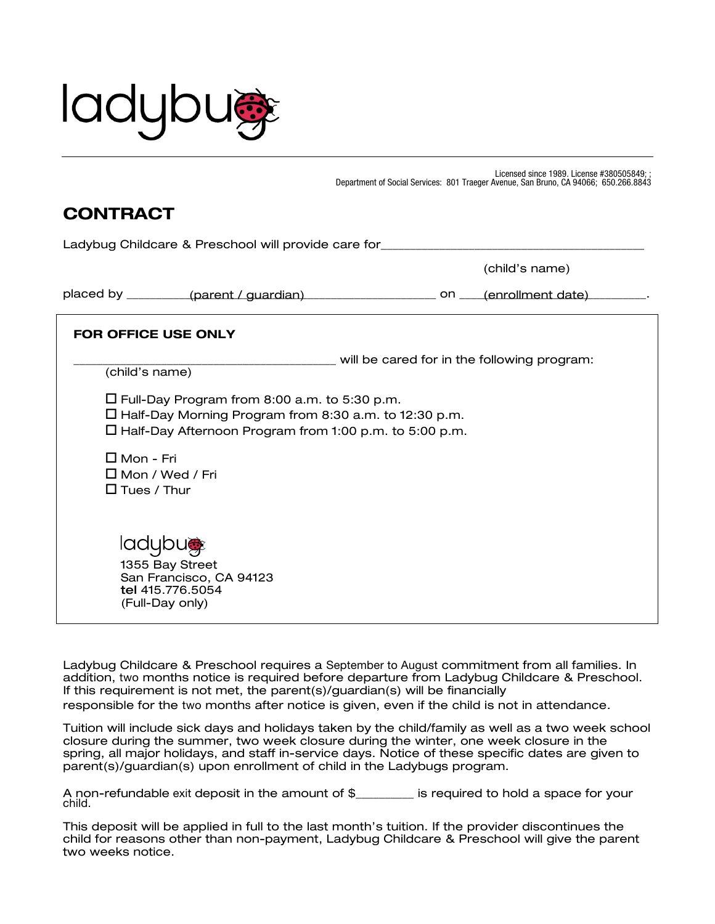

Licensed since 1989. License #380505849; Department of Social Services: 801 Traeger Avenue, San Bruno, CA 94066; 650.266.8843

## **CONTRACT**

Ladybug Childcare & Preschool will provide care for\_\_\_\_\_\_\_\_\_ (child's name) placed by \_\_\_\_\_\_\_\_\_\_\_\_(parent / guardian) on \_\_\_\_\_\_\_\_\_\_\_\_\_\_\_\_\_\_\_\_\_\_\_ on \_\_\_\_\_(enrollment date) **FOR OFFICE USE ONLY** \_\_\_\_\_\_\_\_\_\_\_\_\_\_\_\_\_\_\_\_\_\_\_\_\_\_\_\_\_\_\_\_\_\_\_\_\_\_\_\_\_\_\_\_\_ will be cared for in the following program: (child's name)  $\Box$  Full-Day Program from 8:00 a.m. to 5:30 p.m.  $\Box$  Half-Day Morning Program from 8:30 a.m. to 12:30 p.m.  $\Box$  Half-Day Afternoon Program from 1:00 p.m. to 5:00 p.m.  $\Pi$  Mon - Fri □ Mon / Wed / Fri  $\Box$  Tues / Thur □ladybu  $\overline{\mathbf{v}}$ П 1355 Bay Street San Francisco, CA 94123 tel 415.776.5054 (Full-Day only)

Ladybug Childcare & Preschool requires a September to August commitment from all families. In addition, two months notice is required before departure from Ladybug Childcare & Preschool. If this requirement is not met, the parent(s)/guardian(s) will be financially responsible for the two months after notice is given, even if the child is not in attendance.

Tuition will include sick days and holidays taken by the child/family as well as a two week school closure during the summer, two week closure during the winter, one week closure in the spring, all major holidays, and staff in-service days. Notice of these specific dates are given to parent(s)/guardian(s) upon enrollment of child in the Ladybugs program.

A non-refundable exit deposit in the amount of \$\_\_\_\_\_\_\_\_\_\_ is required to hold a space for your child.

This deposit will be applied in full to the last month's tuition. If the provider discontinues the child for reasons other than non-payment, Ladybug Childcare & Preschool will give the parent two weeks notice.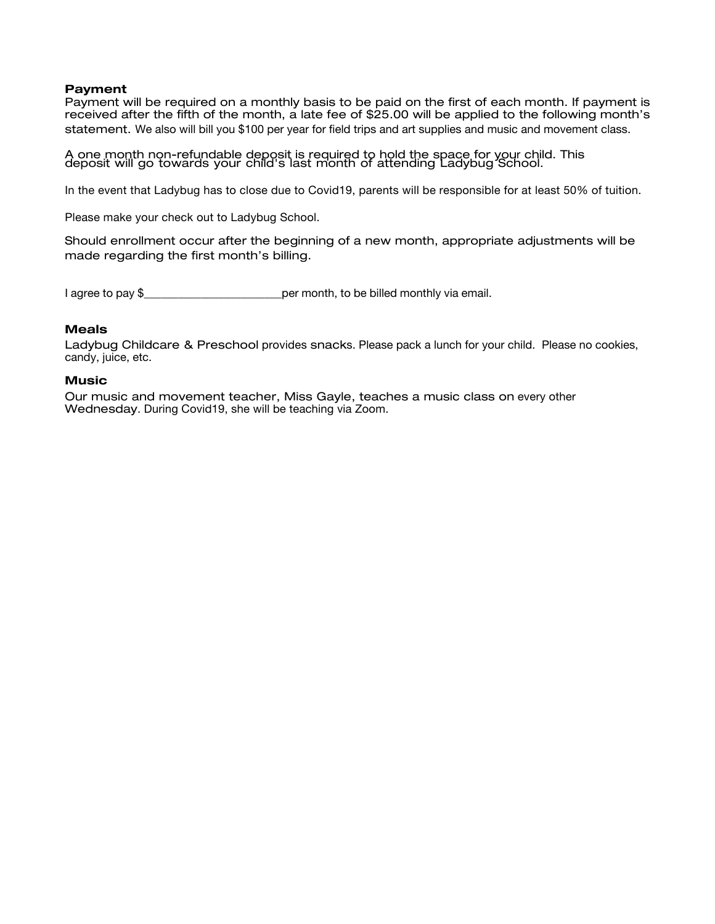#### **Payment**

Payment will be required on a monthly basis to be paid on the first of each month. If payment is received after the fifth of the month, a late fee of \$25.00 will be applied to the following month's statement. We also will bill you \$100 per year for field trips and art supplies and music and movement class.

## A one month non-refundable deposit is required to hold the space for your child. This deposit will go towards your child's last month of attending Ladybug School.

In the event that Ladybug has to close due to Covid19, parents will be responsible for at least 50% of tuition.

Please make your check out to Ladybug School.

Should enrollment occur after the beginning of a new month, appropriate adjustments will be made regarding the first month's billing.

I agree to pay \$\_\_\_\_\_\_\_\_\_\_\_\_\_\_\_\_\_\_\_\_\_\_\_\_\_\_\_\_\_\_\_\_per month, to be billed monthly via email.

#### **Meals**

Ladybug Childcare & Preschool provides snacks. Please pack a lunch for your child. Please no cookies, candy, juice, etc.

#### **Music**

Our music and movement teacher, Miss Gayle, teaches a music class on every other Wednesday. During Covid19, she will be teaching via Zoom.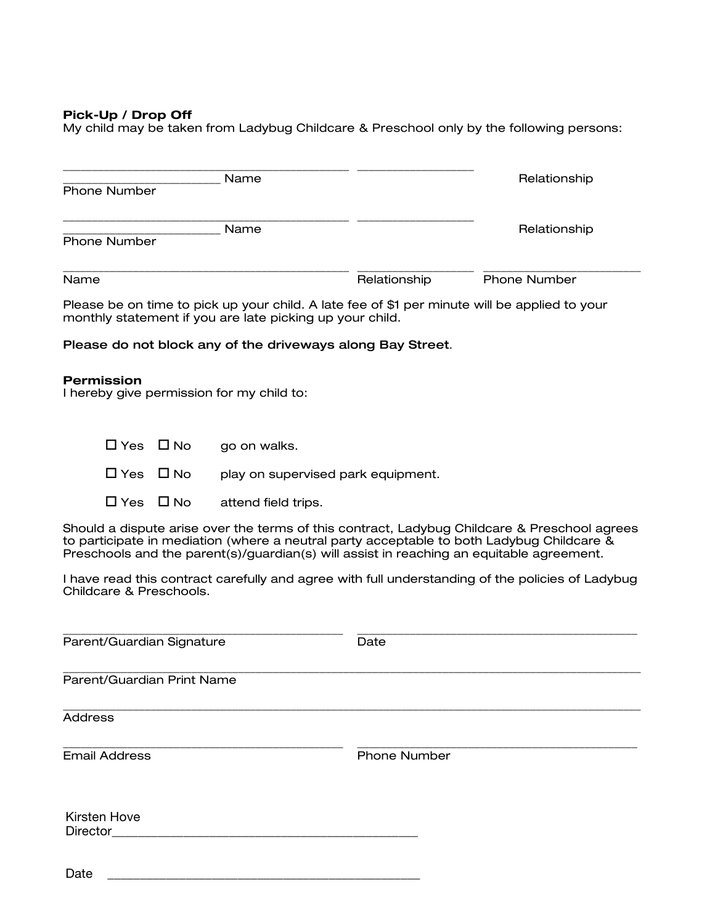#### **Pick-Up / Drop Off**

My child may be taken from Ladybug Childcare & Preschool only by the following persons:

| <b>Name</b>                 | Relationship | <b>Phone Number</b> |
|-----------------------------|--------------|---------------------|
| Name<br><b>Phone Number</b> |              | Relationship        |
| Name<br><b>Phone Number</b> |              | Relationship        |

Please be on time to pick up your child. A late fee of \$1 per minute will be applied to your monthly statement if you are late picking up your child.

Please do not block any of the driveways along Bay Street.

#### **Permission**

I hereby give permission for my child to:

 $\Box$  Yes  $\Box$  No go on walks.

 $\Box$  Yes  $\Box$  No play on supervised park equipment.

 $\Box$  Yes  $\Box$  No attend field trips.

Should a dispute arise over the terms of this contract, Ladybug Childcare & Preschool agrees to participate in mediation (where a neutral party acceptable to both Ladybug Childcare & Preschools and the parent(s)/guardian(s) will assist in reaching an equitable agreement.

I have read this contract carefully and agree with full understanding of the policies of Ladybug Childcare & Preschools.

| Parent/Guardian Signature       | Date                |  |
|---------------------------------|---------------------|--|
| Parent/Guardian Print Name      |                     |  |
| <b>Address</b>                  |                     |  |
| <b>Email Address</b>            | <b>Phone Number</b> |  |
| <b>Kirsten Hove</b><br>Director |                     |  |
| Date                            |                     |  |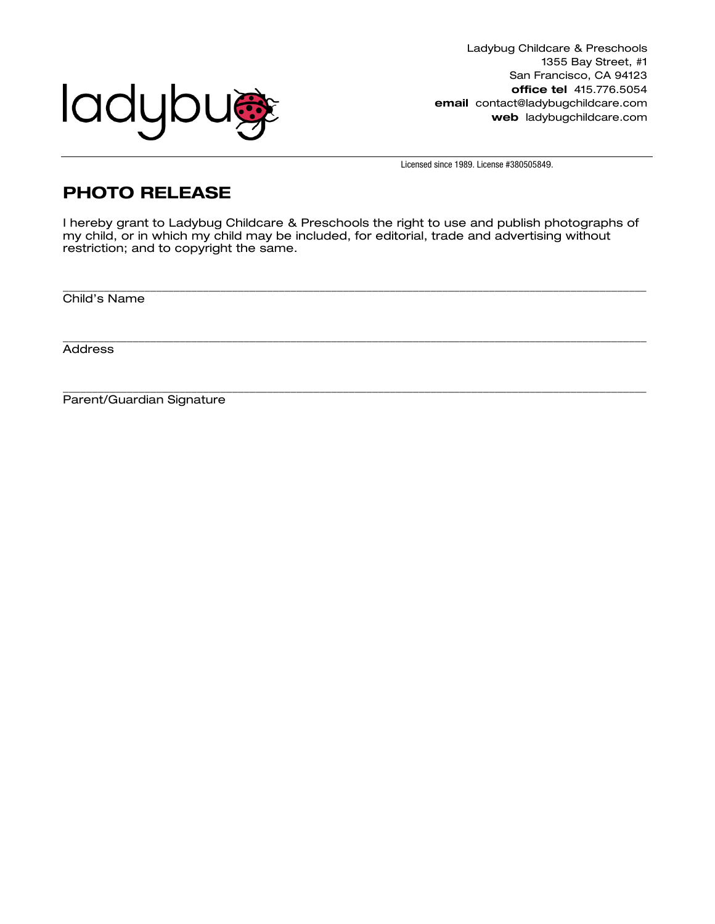

Licensed since 1989. License #380505849.

## **PHOTO RELEASE**

I hereby grant to Ladybug Childcare & Preschools the right to use and publish photographs of my child, or in which my child may be included, for editorial, trade and advertising without restriction; and to copyright the same.

\_\_\_\_\_\_\_\_\_\_\_\_\_\_\_\_\_\_\_\_\_\_\_\_\_\_\_\_\_\_\_\_\_\_\_\_\_\_\_\_\_\_\_\_\_\_\_\_\_\_\_\_\_\_\_\_\_\_\_\_\_\_\_\_\_\_\_\_\_\_\_\_\_\_\_\_\_\_\_\_\_\_\_\_\_\_\_\_\_\_\_\_\_\_\_\_\_\_\_\_

\_\_\_\_\_\_\_\_\_\_\_\_\_\_\_\_\_\_\_\_\_\_\_\_\_\_\_\_\_\_\_\_\_\_\_\_\_\_\_\_\_\_\_\_\_\_\_\_\_\_\_\_\_\_\_\_\_\_\_\_\_\_\_\_\_\_\_\_\_\_\_\_\_\_\_\_\_\_\_\_\_\_\_\_\_\_\_\_\_\_\_\_\_\_\_\_\_\_\_\_

\_\_\_\_\_\_\_\_\_\_\_\_\_\_\_\_\_\_\_\_\_\_\_\_\_\_\_\_\_\_\_\_\_\_\_\_\_\_\_\_\_\_\_\_\_\_\_\_\_\_\_\_\_\_\_\_\_\_\_\_\_\_\_\_\_\_\_\_\_\_\_\_\_\_\_\_\_\_\_\_\_\_\_\_\_\_\_\_\_\_\_\_\_\_\_\_\_\_\_\_ Child's Name

**Address** 

Parent/Guardian Signature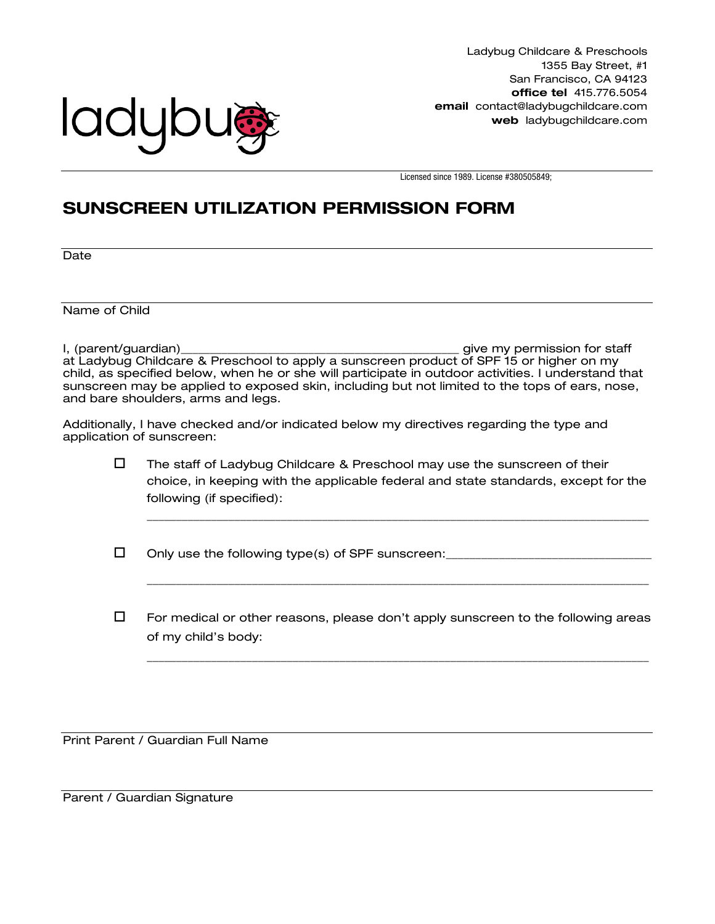

Licensed since 1989. License #380505849;

## **SUNSCREEN UTILIZATION PERMISSION FORM**

Date

Name of Child

I, (parent/guardian)\_\_\_\_\_\_\_\_\_\_\_\_\_\_\_\_\_\_\_\_\_\_\_\_\_\_\_\_\_\_\_\_\_\_\_\_\_\_\_\_\_\_\_\_\_\_\_\_ give my permission for staff at Ladybug Childcare & Preschool to apply a sunscreen product of SPF 15 or higher on my child, as specified below, when he or she will participate in outdoor activities. I understand that sunscreen may be applied to exposed skin, including but not limited to the tops of ears, nose, and bare shoulders, arms and legs.

Additionally, I have checked and/or indicated below my directives regarding the type and application of sunscreen:

 $\Box$  The staff of Ladybug Childcare & Preschool may use the sunscreen of their choice, in keeping with the applicable federal and state standards, except for the following (if specified):

\_\_\_\_\_\_\_\_\_\_\_\_\_\_\_\_\_\_\_\_\_\_\_\_\_\_\_\_\_\_\_\_\_\_\_\_\_\_\_\_\_\_\_\_\_\_\_\_\_\_\_\_\_\_\_\_\_\_\_\_\_\_\_\_\_\_\_\_\_\_\_\_\_\_\_\_\_\_\_\_\_\_\_\_\_\_

\_\_\_\_\_\_\_\_\_\_\_\_\_\_\_\_\_\_\_\_\_\_\_\_\_\_\_\_\_\_\_\_\_\_\_\_\_\_\_\_\_\_\_\_\_\_\_\_\_\_\_\_\_\_\_\_\_\_\_\_\_\_\_\_\_\_\_\_\_\_\_\_\_\_\_\_\_\_\_\_\_\_\_\_\_\_

\_\_\_\_\_\_\_\_\_\_\_\_\_\_\_\_\_\_\_\_\_\_\_\_\_\_\_\_\_\_\_\_\_\_\_\_\_\_\_\_\_\_\_\_\_\_\_\_\_\_\_\_\_\_\_\_\_\_\_\_\_\_\_\_\_\_\_\_\_\_\_\_\_\_\_\_\_\_\_\_\_\_\_\_\_\_

 $\Box$  Only use the following type(s) of SPF sunscreen:

 $\Box$  For medical or other reasons, please don't apply sunscreen to the following areas of my child's body:

Print Parent / Guardian Full Name

Parent / Guardian Signature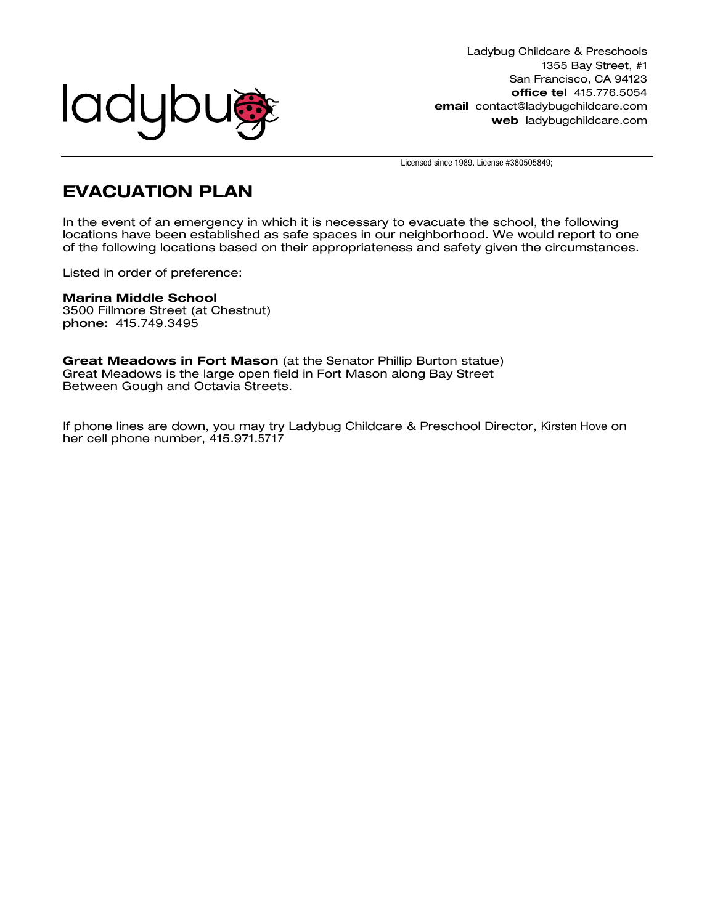

Licensed since 1989. License #380505849;

## **EVACUATION PLAN**

In the event of an emergency in which it is necessary to evacuate the school, the following locations have been established as safe spaces in our neighborhood. We would report to one of the following locations based on their appropriateness and safety given the circumstances.

Listed in order of preference:

#### **Marina Middle School**

3500 Fillmore Street (at Chestnut) phone: 415.749.3495

**Great Meadows in Fort Mason** (at the Senator Phillip Burton statue) Great Meadows is the large open field in Fort Mason along Bay Street Between Gough and Octavia Streets.

If phone lines are down, you may try Ladybug Childcare & Preschool Director, Kirsten Hove on her cell phone number, 415.971.5717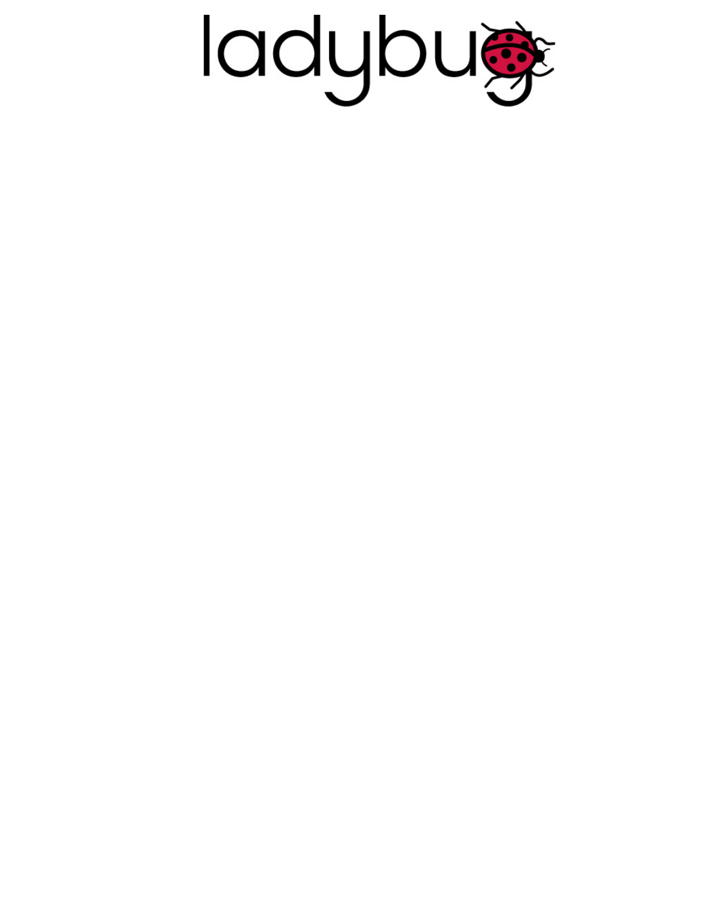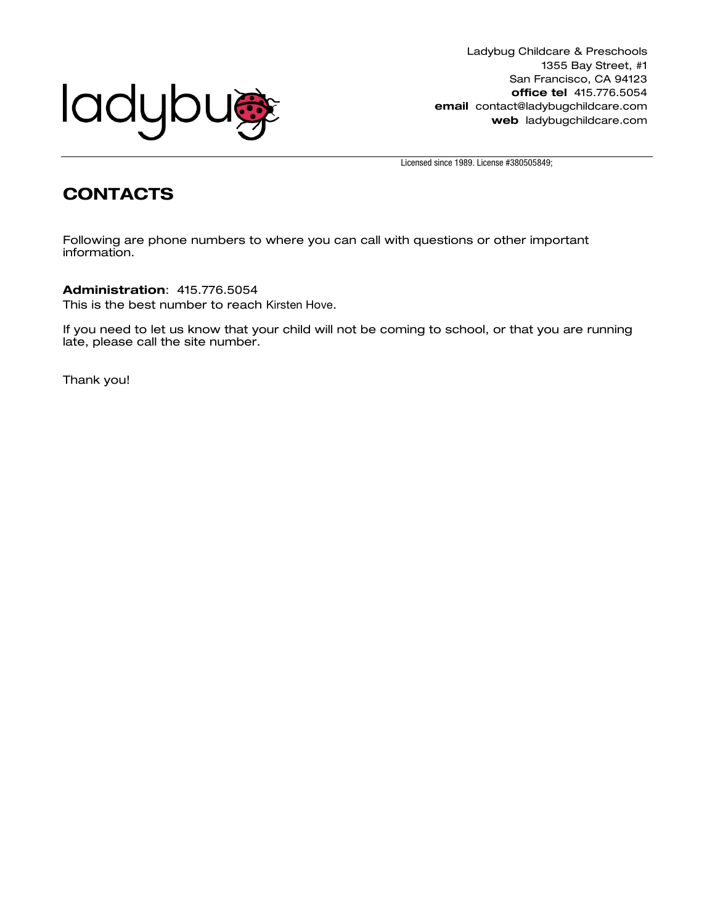

Licensed since 1989. License #380505849;

# **CONTACTS**

Following are phone numbers to where you can call with questions or other important information.

**Administration**: 415.776.5054 This is the best number to reach Kirsten Hove.

If you need to let us know that your child will not be coming to school, or that you are running late, please call the site number.

Thank you!